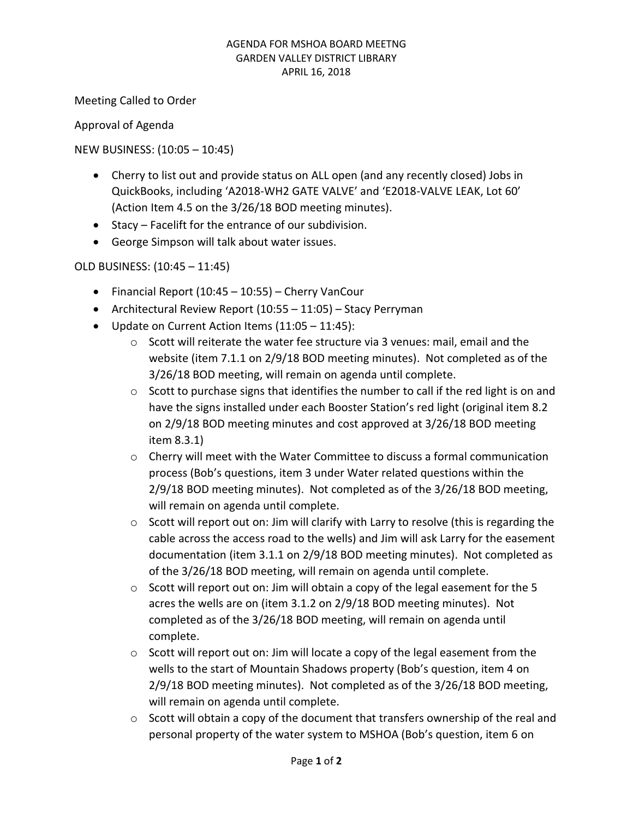#### AGENDA FOR MSHOA BOARD MEETNG GARDEN VALLEY DISTRICT LIBRARY APRIL 16, 2018

Meeting Called to Order

Approval of Agenda

### NEW BUSINESS: (10:05 – 10:45)

- Cherry to list out and provide status on ALL open (and any recently closed) Jobs in QuickBooks, including 'A2018-WH2 GATE VALVE' and 'E2018-VALVE LEAK, Lot 60' (Action Item 4.5 on the 3/26/18 BOD meeting minutes).
- Stacy Facelift for the entrance of our subdivision.
- George Simpson will talk about water issues.

### OLD BUSINESS: (10:45 – 11:45)

- Financial Report (10:45 10:55) Cherry VanCour
- Architectural Review Report (10:55 11:05) Stacy Perryman
- Update on Current Action Items (11:05 11:45):
	- $\circ$  Scott will reiterate the water fee structure via 3 venues: mail, email and the website (item 7.1.1 on 2/9/18 BOD meeting minutes). Not completed as of the 3/26/18 BOD meeting, will remain on agenda until complete.
	- o Scott to purchase signs that identifies the number to call if the red light is on and have the signs installed under each Booster Station's red light (original item 8.2 on 2/9/18 BOD meeting minutes and cost approved at 3/26/18 BOD meeting item 8.3.1)
	- $\circ$  Cherry will meet with the Water Committee to discuss a formal communication process (Bob's questions, item 3 under Water related questions within the 2/9/18 BOD meeting minutes). Not completed as of the 3/26/18 BOD meeting, will remain on agenda until complete.
	- $\circ$  Scott will report out on: Jim will clarify with Larry to resolve (this is regarding the cable across the access road to the wells) and Jim will ask Larry for the easement documentation (item 3.1.1 on 2/9/18 BOD meeting minutes). Not completed as of the 3/26/18 BOD meeting, will remain on agenda until complete.
	- $\circ$  Scott will report out on: Jim will obtain a copy of the legal easement for the 5 acres the wells are on (item 3.1.2 on 2/9/18 BOD meeting minutes). Not completed as of the 3/26/18 BOD meeting, will remain on agenda until complete.
	- $\circ$  Scott will report out on: Jim will locate a copy of the legal easement from the wells to the start of Mountain Shadows property (Bob's question, item 4 on 2/9/18 BOD meeting minutes). Not completed as of the 3/26/18 BOD meeting, will remain on agenda until complete.
	- $\circ$  Scott will obtain a copy of the document that transfers ownership of the real and personal property of the water system to MSHOA (Bob's question, item 6 on